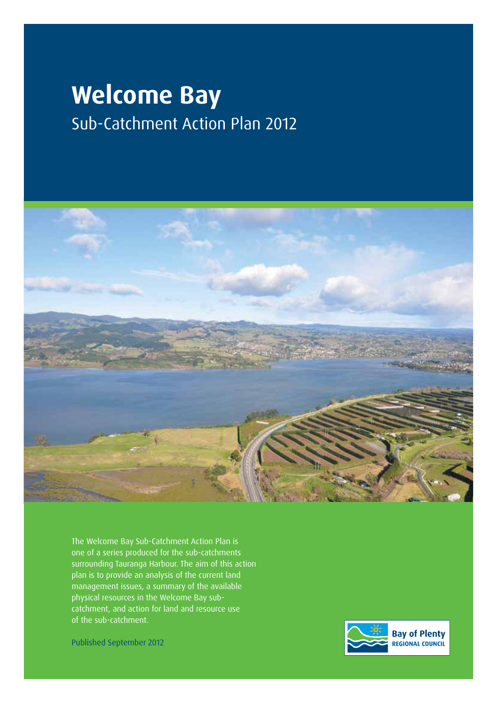# **Welcome Bay** Sub-Catchment Action Plan 2012



The Welcome Bay Sub-Catchment Action Plan is one of a series produced for the sub-catchments surrounding Tauranga Harbour. The aim of this action plan is to provide an analysis of the current land management issues, a summary of the available physical resources in the Welcome Bay subcatchment, and action for land and resource use of the sub-catchment.

Published September 2012

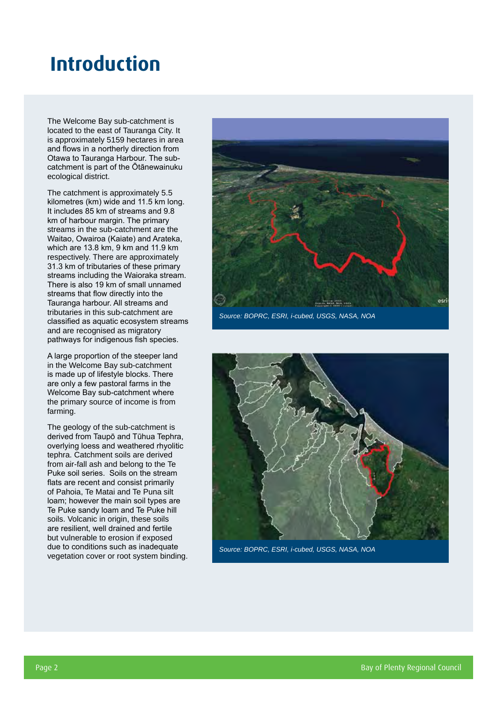### **Introduction**

The Welcome Bay sub-catchment is located to the east of Tauranga City. It is approximately 5159 hectares in area and flows in a northerly direction from Otawa to Tauranga Harbour. The subcatchment is part of the Ōtānewainuku ecological district.

The catchment is approximately 5.5 kilometres (km) wide and 11.5 km long. It includes 85 km of streams and 9.8 km of harbour margin. The primary streams in the sub-catchment are the Waitao, Owairoa (Kaiate) and Arateka, which are 13.8 km, 9 km and 11.9 km respectively. There are approximately 31.3 km of tributaries of these primary streams including the Waioraka stream. There is also 19 km of small unnamed streams that flow directly into the Tauranga harbour. All streams and tributaries in this sub-catchment are classified as aquatic ecosystem streams and are recognised as migratory pathways for indigenous fish species.

A large proportion of the steeper land in the Welcome Bay sub-catchment is made up of lifestyle blocks. There are only a few pastoral farms in the Welcome Bay sub-catchment where the primary source of income is from farming.

The geology of the sub-catchment is derived from Taupō and Tūhua Tephra, overlying loess and weathered rhyolitic tephra. Catchment soils are derived from air-fall ash and belong to the Te Puke soil series. Soils on the stream flats are recent and consist primarily of Pahoia, Te Matai and Te Puna silt loam; however the main soil types are Te Puke sandy loam and Te Puke hill soils. Volcanic in origin, these soils are resilient, well drained and fertile but vulnerable to erosion if exposed due to conditions such as inadequate vegetation cover or root system binding.



*Source: BOPRC, ESRI, i-cubed, USGS, NASA, NOA*



*Source: BOPRC, ESRI, i-cubed, USGS, NASA, NOA*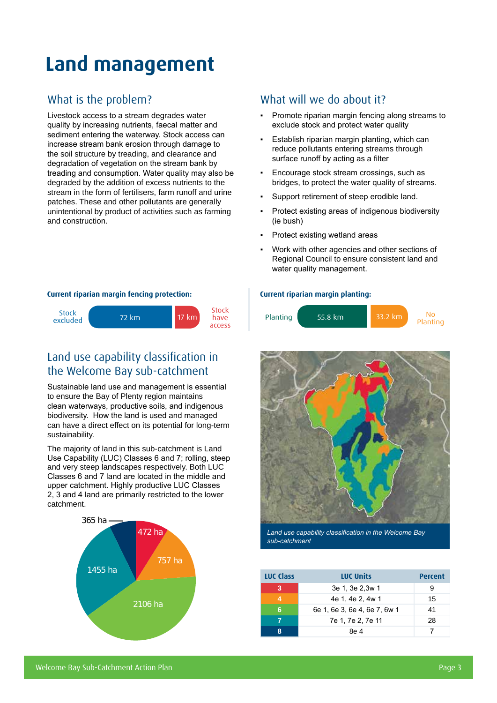## **Land management**

#### What is the problem?

Livestock access to a stream degrades water quality by increasing nutrients, faecal matter and sediment entering the waterway. Stock access can increase stream bank erosion through damage to the soil structure by treading, and clearance and degradation of vegetation on the stream bank by treading and consumption. Water quality may also be degraded by the addition of excess nutrients to the stream in the form of fertilisers, farm runoff and urine patches. These and other pollutants are generally unintentional by product of activities such as farming and construction.

#### What will we do about it?

- Promote riparian margin fencing along streams to exclude stock and protect water quality
- Establish riparian margin planting, which can reduce pollutants entering streams through surface runoff by acting as a filter
- Encourage stock stream crossings, such as bridges, to protect the water quality of streams.
- Support retirement of steep erodible land.
- Protect existing areas of indigenous biodiversity (ie bush)
- Protect existing wetland areas
- Work with other agencies and other sections of Regional Council to ensure consistent land and water quality management.

#### **Current riparian margin fencing protection:**



#### Land use capability classification in the Welcome Bay sub-catchment

Sustainable land use and management is essential to ensure the Bay of Plenty region maintains clean waterways, productive soils, and indigenous biodiversity. How the land is used and managed can have a direct effect on its potential for long-term sustainability.

The majority of land in this sub-catchment is Land Use Capability (LUC) Classes 6 and 7; rolling, steep and very steep landscapes respectively. Both LUC Classes 6 and 7 land are located in the middle and upper catchment. Highly productive LUC Classes 2, 3 and 4 land are primarily restricted to the lower catchment.



#### **Current riparian margin planting:**





*Land use capability classification in the Welcome Bay sub-catchment*

| LUC Class | <b>LUC Units</b>             | <b>Percent</b> |
|-----------|------------------------------|----------------|
| 3         | 3e 1, 3e 2,3w 1              | 9              |
|           | 4e 1, 4e 2, 4w 1             | 15             |
| 6         | 6e 1, 6e 3, 6e 4, 6e 7, 6w 1 | 41             |
|           | 7e 1, 7e 2, 7e 11            | 28             |
|           | 8e 4                         |                |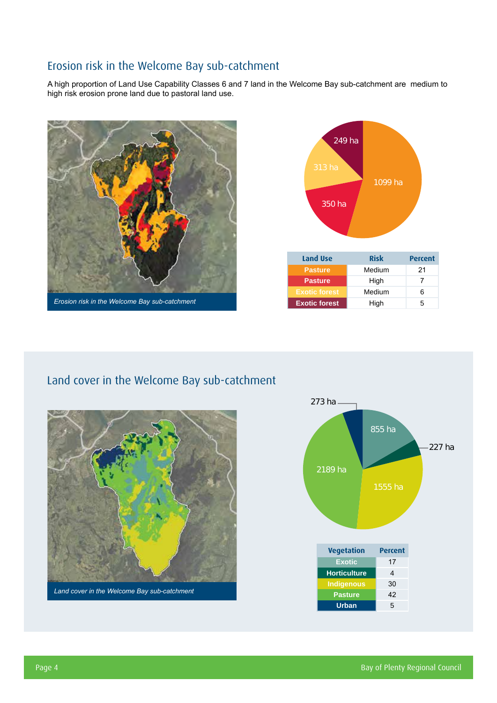### Erosion risk in the Welcome Bay sub-catchment

A high proportion of Land Use Capability Classes 6 and 7 land in the Welcome Bay sub-catchment are medium to high risk erosion prone land due to pastoral land use.





#### Land cover in the Welcome Bay sub-catchment



*Land cover in the Welcome Bay sub-catchment*

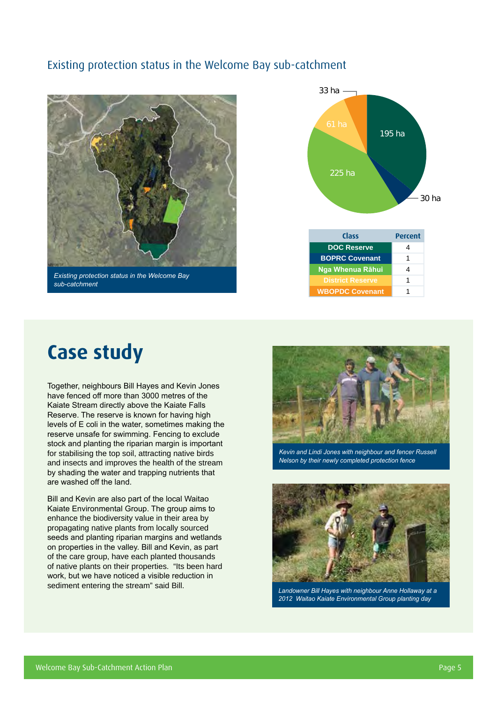#### Existing protection status in the Welcome Bay sub-catchment



*Existing protection status in the Welcome Bay sub-catchment*



### **Case study**

Together, neighbours Bill Hayes and Kevin Jones have fenced off more than 3000 metres of the Kaiate Stream directly above the Kaiate Falls Reserve. The reserve is known for having high levels of E coli in the water, sometimes making the reserve unsafe for swimming. Fencing to exclude stock and planting the riparian margin is important for stabilising the top soil, attracting native birds and insects and improves the health of the stream by shading the water and trapping nutrients that are washed off the land.

Bill and Kevin are also part of the local Waitao Kaiate Environmental Group. The group aims to enhance the biodiversity value in their area by propagating native plants from locally sourced seeds and planting riparian margins and wetlands on properties in the valley. Bill and Kevin, as part of the care group, have each planted thousands of native plants on their properties. "Its been hard work, but we have noticed a visible reduction in sediment entering the stream" said Bill.



*Kevin and Lindi Jones with neighbour and fencer Russell Nelson by their newly completed protection fence*



*Landowner Bill Hayes with neighbour Anne Hollaway at a 2012 Waitao Kaiate Environmental Group planting day*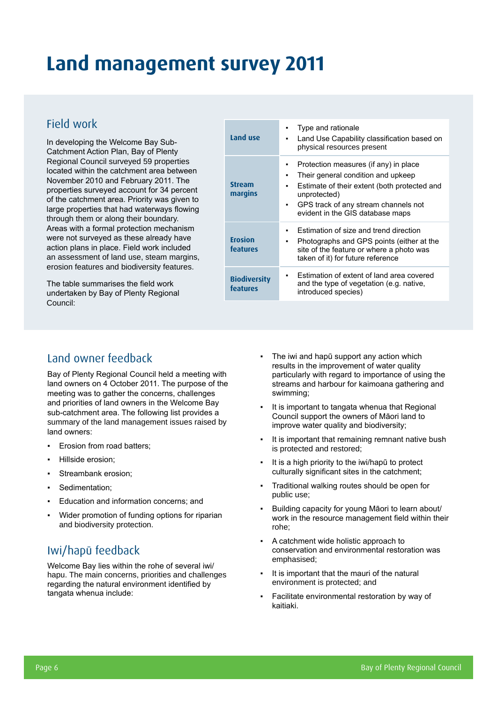### **Land management survey 2011**

#### Field work

In developing the Welcome Bay Sub-Catchment Action Plan, Bay of Plenty Regional Council surveyed 59 properties located within the catchment area between November 2010 and February 2011. The properties surveyed account for 34 percent of the catchment area. Priority was given to large properties that had waterways flowing through them or along their boundary. Areas with a formal protection mechanism were not surveyed as these already have action plans in place. Field work included an assessment of land use, steam margins, erosion features and biodiversity features.

The table summarises the field work undertaken by Bay of Plenty Regional Council:

| Land use                        | Type and rationale<br>Land Use Capability classification based on<br>٠<br>physical resources present                                                                                                                         |
|---------------------------------|------------------------------------------------------------------------------------------------------------------------------------------------------------------------------------------------------------------------------|
| <b>Stream</b><br>margins        | Protection measures (if any) in place<br>Their general condition and upkeep<br>Estimate of their extent (both protected and<br>unprotected)<br>GPS track of any stream channels not<br>٠<br>evident in the GIS database maps |
| <b>Erosion</b><br>features      | Estimation of size and trend direction<br>Photographs and GPS points (either at the<br>site of the feature or where a photo was<br>taken of it) for future reference                                                         |
| <b>Biodiversity</b><br>features | Estimation of extent of land area covered<br>and the type of vegetation (e.g. native,<br>introduced species)                                                                                                                 |

#### Land owner feedback

Bay of Plenty Regional Council held a meeting with land owners on 4 October 2011. The purpose of the meeting was to gather the concerns, challenges and priorities of land owners in the Welcome Bay sub-catchment area. The following list provides a summary of the land management issues raised by land owners:

- Erosion from road batters;
- Hillside erosion:
- Streambank erosion:
- Sedimentation;
- Education and information concerns; and
- Wider promotion of funding options for riparian and biodiversity protection.

#### Iwi/hapū feedback

Welcome Bay lies within the rohe of several iwi/ hapu. The main concerns, priorities and challenges regarding the natural environment identified by tangata whenua include:

- The iwi and hapū support any action which results in the improvement of water quality particularly with regard to importance of using the streams and harbour for kaimoana gathering and swimming;
- It is important to tangata whenua that Regional Council support the owners of Māori land to improve water quality and biodiversity;
- It is important that remaining remnant native bush is protected and restored;
- It is a high priority to the iwi/hapū to protect culturally significant sites in the catchment;
- Traditional walking routes should be open for public use;
- Building capacity for young Māori to learn about/ work in the resource management field within their rohe;
- A catchment wide holistic approach to conservation and environmental restoration was emphasised;
- It is important that the mauri of the natural environment is protected; and
- Facilitate environmental restoration by way of kaitiaki.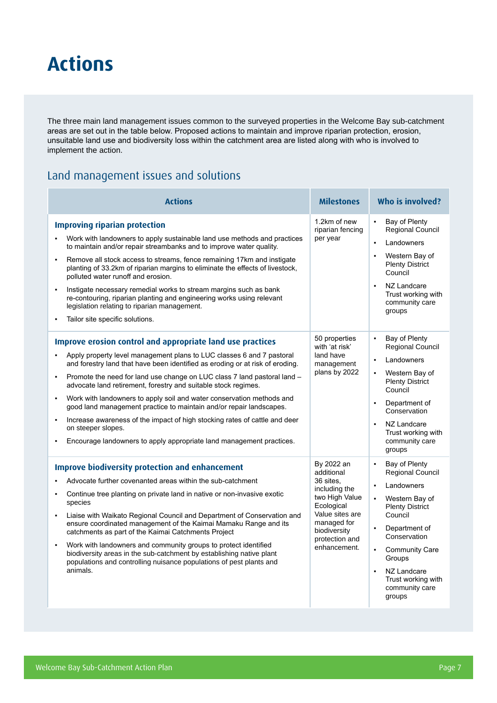### **Actions**

The three main land management issues common to the surveyed properties in the Welcome Bay sub-catchment areas are set out in the table below. Proposed actions to maintain and improve riparian protection, erosion, unsuitable land use and biodiversity loss within the catchment area are listed along with who is involved to implement the action.

#### Land management issues and solutions

| <b>Actions</b>                                                                                                                                                                                                                                                                                                                                                                                                                                                                                                                                                                                                                                                                                                     | <b>Milestones</b>                                                                                                                                                          | Who is involved?                                                                                                                                                                                                                                                                                                                     |  |  |
|--------------------------------------------------------------------------------------------------------------------------------------------------------------------------------------------------------------------------------------------------------------------------------------------------------------------------------------------------------------------------------------------------------------------------------------------------------------------------------------------------------------------------------------------------------------------------------------------------------------------------------------------------------------------------------------------------------------------|----------------------------------------------------------------------------------------------------------------------------------------------------------------------------|--------------------------------------------------------------------------------------------------------------------------------------------------------------------------------------------------------------------------------------------------------------------------------------------------------------------------------------|--|--|
| <b>Improving riparian protection</b><br>Work with landowners to apply sustainable land use methods and practices<br>$\blacksquare$<br>to maintain and/or repair streambanks and to improve water quality.<br>Remove all stock access to streams, fence remaining 17km and instigate<br>×<br>planting of 33.2km of riparian margins to eliminate the effects of livestock,<br>polluted water runoff and erosion.<br>Instigate necessary remedial works to stream margins such as bank<br>$\blacksquare$<br>re-contouring, riparian planting and engineering works using relevant<br>legislation relating to riparian management.<br>Tailor site specific solutions.                                                 | 1.2km of new<br>riparian fencing<br>per year                                                                                                                               | Bay of Plenty<br>$\blacksquare$<br>Regional Council<br>Landowners<br>$\blacksquare$<br>Western Bay of<br>$\blacksquare$<br><b>Plenty District</b><br>Council<br>NZ Landcare<br>$\blacksquare$<br>Trust working with<br>community care<br>groups                                                                                      |  |  |
| Improve erosion control and appropriate land use practices<br>Apply property level management plans to LUC classes 6 and 7 pastoral<br>and forestry land that have been identified as eroding or at risk of eroding.<br>Promote the need for land use change on LUC class 7 land pastoral land -<br>×<br>advocate land retirement, forestry and suitable stock regimes.<br>Work with landowners to apply soil and water conservation methods and<br>×<br>good land management practice to maintain and/or repair landscapes.<br>Increase awareness of the impact of high stocking rates of cattle and deer<br>×<br>on steeper slopes.<br>Encourage landowners to apply appropriate land management practices.<br>٠ | 50 properties<br>with 'at risk'<br>land have<br>management<br>plans by 2022                                                                                                | Bay of Plenty<br>$\blacksquare$<br><b>Regional Council</b><br>Landowners<br>$\blacksquare$<br>Western Bay of<br>٠<br><b>Plenty District</b><br>Council<br>Department of<br>i.<br>Conservation<br>NZ Landcare<br>$\blacksquare$<br>Trust working with<br>community care<br>groups                                                     |  |  |
| <b>Improve biodiversity protection and enhancement</b><br>Advocate further covenanted areas within the sub-catchment<br>Continue tree planting on private land in native or non-invasive exotic<br>×<br>species<br>Liaise with Waikato Regional Council and Department of Conservation and<br>×<br>ensure coordinated management of the Kaimai Mamaku Range and its<br>catchments as part of the Kaimai Catchments Project<br>Work with landowners and community groups to protect identified<br>í.<br>biodiversity areas in the sub-catchment by establishing native plant<br>populations and controlling nuisance populations of pest plants and<br>animals.                                                     | By 2022 an<br>additional<br>36 sites.<br>including the<br>two High Value<br>Ecological<br>Value sites are<br>managed for<br>biodiversity<br>protection and<br>enhancement. | Bay of Plenty<br>$\blacksquare$<br><b>Regional Council</b><br>Landowners<br>$\blacksquare$<br>Western Bay of<br>$\blacksquare$<br><b>Plenty District</b><br>Council<br>Department of<br>$\blacksquare$<br>Conservation<br><b>Community Care</b><br>٠<br>Groups<br>NZ Landcare<br>ä<br>Trust working with<br>community care<br>groups |  |  |